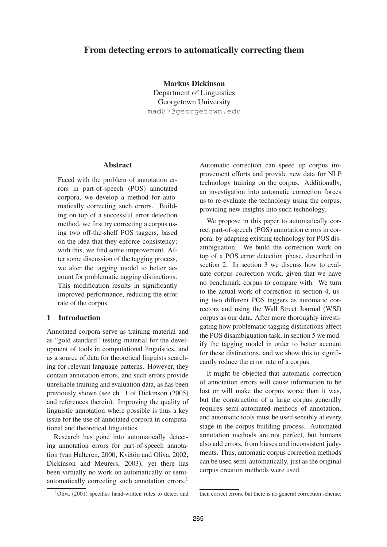# **From detecting errors to automatically correcting them**

**Markus Dickinson** Department of Linguistics Georgetown University mad87@georgetown.edu

### **Abstract**

Faced with the problem of annotation errors in part-of-speech (POS) annotated corpora, we develop a method for automatically correcting such errors. Building on top of a successful error detection method, we first try correcting a corpus using two off-the-shelf POS taggers, based on the idea that they enforce consistency; with this, we find some improvement. After some discussion of the tagging process, we alter the tagging model to better account for problematic tagging distinctions. This modification results in significantly improved performance, reducing the error rate of the corpus.

## **1 Introduction**

Annotated corpora serve as training material and as "gold standard" testing material for the development of tools in computational linguistics, and as a source of data for theoretical linguists searching for relevant language patterns. However, they contain annotation errors, and such errors provide unreliable training and evaluation data, as has been previously shown (see ch. 1 of Dickinson (2005) and references therein). Improving the quality of linguistic annotation where possible is thus a key issue for the use of annotated corpora in computational and theoretical linguistics.

Research has gone into automatically detecting annotation errors for part-of-speech annotation (van Halteren, 2000; Květŏn and Oliva, 2002; Dickinson and Meurers, 2003), yet there has been virtually no work on automatically or semiautomatically correcting such annotation errors.<sup>1</sup>

Automatic correction can speed up corpus improvement efforts and provide new data for NLP technology training on the corpus. Additionally, an investigation into automatic correction forces us to re-evaluate the technology using the corpus, providing new insights into such technology.

We propose in this paper to automatically correct part-of-speech (POS) annotation errors in corpora, by adapting existing technology for POS disambiguation. We build the correction work on top of a POS error detection phase, described in section 2. In section 3 we discuss how to evaluate corpus correction work, given that we have no benchmark corpus to compare with. We turn to the actual work of correction in section 4, using two different POS taggers as automatic correctors and using the Wall Street Journal (WSJ) corpus as our data. After more thoroughly investigating how problematic tagging distinctions affect the POS disambiguation task, in section 5 we modify the tagging model in order to better account for these distinctions, and we show this to significantly reduce the error rate of a corpus.

It might be objected that automatic correction of annotation errors will cause information to be lost or will make the corpus worse than it was, but the construction of a large corpus generally requires semi-automated methods of annotation, and automatic tools must be used sensibly at every stage in the corpus building process. Automated annotation methods are not perfect, but humans also add errors, from biases and inconsistent judgments. Thus, automatic corpus correction methods can be used semi-automatically, just as the original corpus creation methods were used.

<sup>&</sup>lt;sup>1</sup>Oliva (2001) specifies hand-written rules to detect and

then correct errors, but there is no general correction scheme.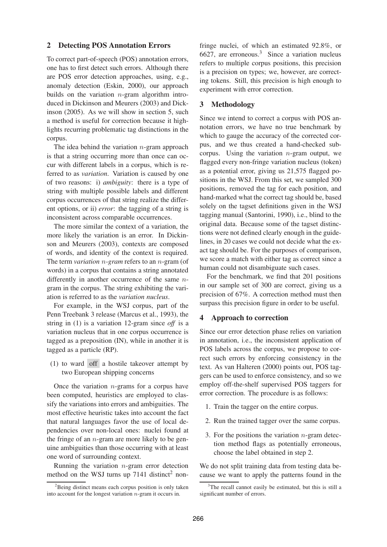### **2 Detecting POS Annotation Errors**

To correct part-of-speech (POS) annotation errors, one has to first detect such errors. Although there are POS error detection approaches, using, e.g., anomaly detection (Eskin, 2000), our approach builds on the variation  $n$ -gram algorithm introduced in Dickinson and Meurers (2003) and Dickinson (2005). As we will show in section 5, such a method is useful for correction because it highlights recurring problematic tag distinctions in the corpus.

The idea behind the variation  $n$ -gram approach is that a string occurring more than once can occur with different labels in a corpus, which is referred to as *variation*. Variation is caused by one of two reasons: i) *ambiguity*: there is a type of string with multiple possible labels and different corpus occurrences of that string realize the different options, or ii) *error*: the tagging of a string is inconsistent across comparable occurrences.

The more similar the context of a variation, the more likely the variation is an error. In Dickinson and Meurers (2003), contexts are composed of words, and identity of the context is required. The term *variation* n*-gram* refers to an n-gram (of words) in a corpus that contains a string annotated differently in another occurrence of the same ngram in the corpus. The string exhibiting the variation is referred to as the *variation nucleus*.

For example, in the WSJ corpus, part of the Penn Treebank 3 release (Marcus et al., 1993), the string in (1) is a variation 12-gram since *off* is a variation nucleus that in one corpus occurrence is tagged as a preposition (IN), while in another it is tagged as a particle (RP).

(1) to ward off a hostile takeover attempt by two European shipping concerns

Once the variation  $n$ -grams for a corpus have been computed, heuristics are employed to classify the variations into errors and ambiguities. The most effective heuristic takes into account the fact that natural languages favor the use of local dependencies over non-local ones: nuclei found at the fringe of an  $n$ -gram are more likely to be genuine ambiguities than those occurring with at least one word of surrounding context.

Running the variation  $n$ -gram error detection method on the WSJ turns up  $7141$  distinct<sup>2</sup> non-

fringe nuclei, of which an estimated 92.8%, or 6627, are erroneous.<sup>3</sup> Since a variation nucleus refers to multiple corpus positions, this precision is a precision on types; we, however, are correcting tokens. Still, this precision is high enough to experiment with error correction.

## **3 Methodology**

Since we intend to correct a corpus with POS annotation errors, we have no true benchmark by which to gauge the accuracy of the corrected corpus, and we thus created a hand-checked subcorpus. Using the variation  $n$ -gram output, we flagged every non-fringe variation nucleus (token) as a potential error, giving us 21,575 flagged positions in the WSJ. From this set, we sampled 300 positions, removed the tag for each position, and hand-marked what the correct tag should be, based solely on the tagset definitions given in the WSJ tagging manual (Santorini, 1990), i.e., blind to the original data. Because some of the tagset distinctions were not defined clearly enough in the guidelines, in 20 cases we could not decide what the exact tag should be. For the purposes of comparison, we score a match with either tag as correct since a human could not disambiguate such cases.

For the benchmark, we find that 201 positions in our sample set of 300 are correct, giving us a precision of 67%. A correction method must then surpass this precision figure in order to be useful.

### **4 Approach to correction**

Since our error detection phase relies on variation in annotation, i.e., the inconsistent application of POS labels across the corpus, we propose to correct such errors by enforcing consistency in the text. As van Halteren (2000) points out, POS taggers can be used to enforce consistency, and so we employ off-the-shelf supervised POS taggers for error correction. The procedure is as follows:

- 1. Train the tagger on the entire corpus.
- 2. Run the trained tagger over the same corpus.
- 3. For the positions the variation  $n$ -gram detection method flags as potentially erroneous, choose the label obtained in step 2.

We do not split training data from testing data because we want to apply the patterns found in the

 ${}^{2}$ Being distinct means each corpus position is only taken into account for the longest variation n-gram it occurs in.

<sup>&</sup>lt;sup>3</sup>The recall cannot easily be estimated, but this is still a significant number of errors.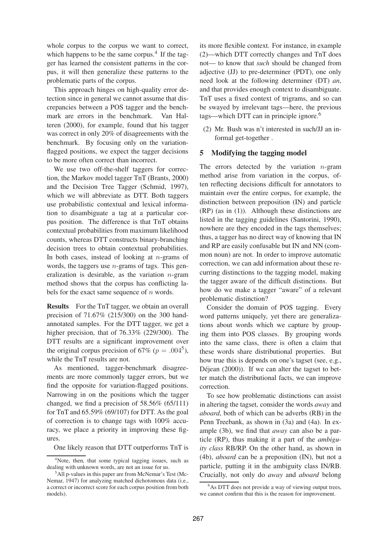whole corpus to the corpus we want to correct, which happens to be the same corpus.<sup>4</sup> If the tagger has learned the consistent patterns in the corpus, it will then generalize these patterns to the problematic parts of the corpus.

This approach hinges on high-quality error detection since in general we cannot assume that discrepancies between a POS tagger and the benchmark are errors in the benchmark. Van Halteren (2000), for example, found that his tagger was correct in only 20% of disagreements with the benchmark. By focusing only on the variationflagged positions, we expect the tagger decisions to be more often correct than incorrect.

We use two off-the-shelf taggers for correction, the Markov model tagger TnT (Brants, 2000) and the Decision Tree Tagger (Schmid, 1997), which we will abbreviate as DTT. Both taggers use probabilistic contextual and lexical information to disambiguate a tag at a particular corpus position. The difference is that TnT obtains contextual probabilities from maximum likelihood counts, whereas DTT constructs binary-branching decision trees to obtain contextual probabilities. In both cases, instead of looking at  $n$ -grams of words, the taggers use  $n$ -grams of tags. This generalization is desirable, as the variation  $n$ -gram method shows that the corpus has conflicting labels for the exact same sequence of  $n$  words.

**Results** For the TnT tagger, we obtain an overall precision of 71.67% (215/300) on the 300 handannotated samples. For the DTT tagger, we get a higher precision, that of 76.33% (229/300). The DTT results are a significant improvement over the original corpus precision of 67% ( $p = .004^5$ ), while the TnT results are not.

As mentioned, tagger-benchmark disagreements are more commonly tagger errors, but we find the opposite for variation-flagged positions. Narrowing in on the positions which the tagger changed, we find a precision of 58.56% (65/111) for TnT and 65.59% (69/107) for DTT. As the goal of correction is to change tags with 100% accuracy, we place a priority in improving these figures.

One likely reason that DTT outperforms TnT is

its more flexible context. For instance, in example (2)—which DTT correctly changes and TnT does not— to know that *such* should be changed from adjective (JJ) to pre-determiner (PDT), one only need look at the following determiner (DT) *an*, and that provides enough context to disambiguate. TnT uses a fixed context of trigrams, and so can be swayed by irrelevant tags—here, the previous tags—which DTT can in principle ignore.<sup>6</sup>

(2) Mr. Bush was n't interested in such/JJ an informal get-together .

### **5 Modifying the tagging model**

The errors detected by the variation  $n$ -gram method arise from variation in the corpus, often reflecting decisions difficult for annotators to maintain over the entire corpus, for example, the distinction between preposition (IN) and particle (RP) (as in (1)). Although these distinctions are listed in the tagging guidelines (Santorini, 1990), nowhere are they encoded in the tags themselves; thus, a tagger has no direct way of knowing that IN and RP are easily confusable but IN and NN (common noun) are not. In order to improve automatic correction, we can add information about these recurring distinctions to the tagging model, making the tagger aware of the difficult distinctions. But how do we make a tagger "aware" of a relevant problematic distinction?

Consider the domain of POS tagging. Every word patterns uniquely, yet there are generalizations about words which we capture by grouping them into POS classes. By grouping words into the same class, there is often a claim that these words share distributional properties. But how true this is depends on one's tagset (see, e.g., Déjean  $(2000)$ ). If we can alter the tagset to better match the distributional facts, we can improve correction.

To see how problematic distinctions can assist in altering the tagset, consider the words *away* and *aboard*, both of which can be adverbs (RB) in the Penn Treebank, as shown in (3a) and (4a). In example (3b), we find that *away* can also be a particle (RP), thus making it a part of the *ambiguity class* RB/RP. On the other hand, as shown in (4b), *aboard* can be a preposition (IN), but not a particle, putting it in the ambiguity class IN/RB. Crucially, not only do *away* and *aboard* belong

<sup>4</sup>Note, then, that some typical tagging issues, such as dealing with unknown words, are not an issue for us.

<sup>5</sup>All p-values in this paper are from McNemar's Test (Mc-Nemar, 1947) for analyzing matched dichotomous data (i.e., a correct or incorrect score for each corpus position from both models).

 $6$ As DTT does not provide a way of viewing output trees, we cannot confirm that this is the reason for improvement.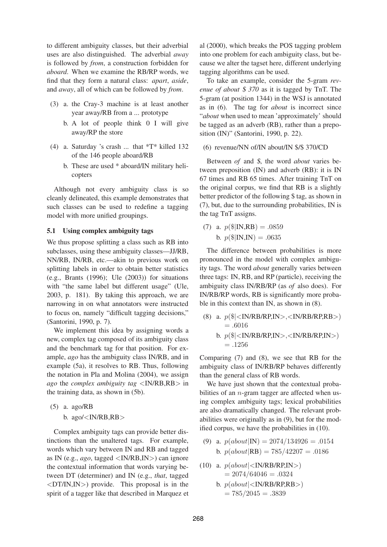to different ambiguity classes, but their adverbial uses are also distinguished. The adverbial *away* is followed by *from*, a construction forbidden for *aboard*. When we examine the RB/RP words, we find that they form a natural class: *apart*, *aside*, and *away*, all of which can be followed by *from*.

- (3) a. the Cray-3 machine is at least another year away/RB from a ... prototype
	- b. A lot of people think 0 I will give away/RP the store
- (4) a. Saturday 's crash ... that \*T\* killed 132 of the 146 people aboard/RB
	- b. These are used \* aboard/IN military helicopters

Although not every ambiguity class is so cleanly delineated, this example demonstrates that such classes can be used to redefine a tagging model with more unified groupings.

## **5.1 Using complex ambiguity tags**

We thus propose splitting a class such as RB into subclasses, using these ambiguity classes—JJ/RB, NN/RB, IN/RB, etc.—akin to previous work on splitting labels in order to obtain better statistics (e.g., Brants (1996); Ule (2003)) for situations with "the same label but different usage" (Ule, 2003, p. 181). By taking this approach, we are narrowing in on what annotators were instructed to focus on, namely "difficult tagging decisions," (Santorini, 1990, p. 7).

We implement this idea by assigning words a new, complex tag composed of its ambiguity class and the benchmark tag for that position. For example, *ago* has the ambiguity class IN/RB, and in example (5a), it resolves to RB. Thus, following the notation in Pla and Molina (2004), we assign *ago* the *complex ambiguity tag* <IN/RB,RB> in the training data, as shown in (5b).

(5) a. ago/RB b. ago/ $\langle$ IN/RB,RB $>$ 

Complex ambiguity tags can provide better distinctions than the unaltered tags. For example, words which vary between IN and RB and tagged as IN (e.g., *ago*, tagged <IN/RB,IN>) can ignore the contextual information that words varying between DT (determiner) and IN (e.g., *that*, tagged  $\langle \text{DT/IN,IN}\rangle$  provide. This proposal is in the spirit of a tagger like that described in Marquez et

al (2000), which breaks the POS tagging problem into one problem for each ambiguity class, but because we alter the tagset here, different underlying tagging algorithms can be used.

To take an example, consider the 5-gram *revenue of about* \$ *370* as it is tagged by TnT. The 5-gram (at position 1344) in the WSJ is annotated as in (6). The tag for *about* is incorrect since "*about* when used to mean 'approximately' should be tagged as an adverb (RB), rather than a preposition (IN)" (Santorini, 1990, p. 22).

#### (6) revenue/NN of/IN about/IN \$/\$ 370/CD

Between *of* and \$, the word *about* varies between preposition (IN) and adverb (RB): it is IN 67 times and RB 65 times. After training TnT on the original corpus, we find that RB is a slightly better predictor of the following \$ tag, as shown in (7), but, due to the surrounding probabilities, IN is the tag TnT assigns.

(7) a.  $p(\$|IN, RB) = .0859$ b.  $p(\$|IN,IN) = .0635$ 

The difference between probabilities is more pronounced in the model with complex ambiguity tags. The word *about* generally varies between three tags: IN, RB, and RP (particle), receiving the ambiguity class IN/RB/RP (as *of* also does). For IN/RB/RP words, RB is significantly more probable in this context than IN, as shown in (8).

(8) a.  $p(\$|<$ IN/RB/RP,IN>, $<$ IN/RB/RP,RB>)  $=.6016$ b.  $p(\$|<$ IN/RB/RP,IN>, $<$ IN/RB/RP,IN>)  $= .1256$ 

Comparing (7) and (8), we see that RB for the ambiguity class of IN/RB/RP behaves differently than the general class of RB words.

We have just shown that the contextual probabilities of an  $n$ -gram tagger are affected when using complex ambiguity tags; lexical probabilities are also dramatically changed. The relevant probabilities were originally as in (9), but for the modified corpus, we have the probabilities in (10).

- (9) a.  $p(about|IN) = 2074/134926 = .0154$ b.  $p(about|RB) = 785/42207 = .0186$
- (10) a.  $p(about|<sub>N</sub>/RBR,IN>)$  $= 2074/64046 = .0324$ b.  $p(about|<sub>IN/RB/RP,RB></sub>$ )  $= 785/2045 = .3839$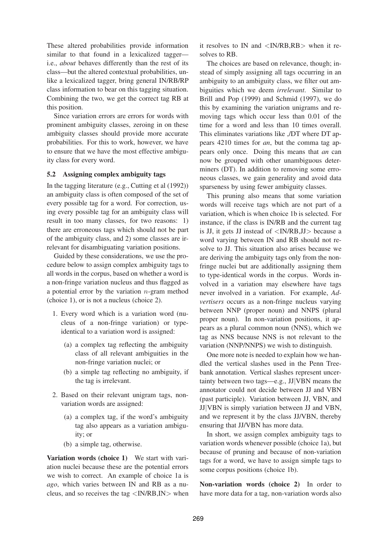These altered probabilities provide information similar to that found in a lexicalized tagger i.e., *about* behaves differently than the rest of its class—but the altered contextual probabilities, unlike a lexicalized tagger, bring general IN/RB/RP class information to bear on this tagging situation. Combining the two, we get the correct tag RB at this position.

Since variation errors are errors for words with prominent ambiguity classes, zeroing in on these ambiguity classes should provide more accurate probabilities. For this to work, however, we have to ensure that we have the most effective ambiguity class for every word.

### **5.2 Assigning complex ambiguity tags**

In the tagging literature (e.g., Cutting et al (1992)) an ambiguity class is often composed of the set of every possible tag for a word. For correction, using every possible tag for an ambiguity class will result in too many classes, for two reasons: 1) there are erroneous tags which should not be part of the ambiguity class, and 2) some classes are irrelevant for disambiguating variation positions.

Guided by these considerations, we use the procedure below to assign complex ambiguity tags to all words in the corpus, based on whether a word is a non-fringe variation nucleus and thus flagged as a potential error by the variation  $n$ -gram method (choice 1), or is not a nucleus (choice 2).

- 1. Every word which is a variation word (nucleus of a non-fringe variation) or typeidentical to a variation word is assigned:
	- (a) a complex tag reflecting the ambiguity class of all relevant ambiguities in the non-fringe variation nuclei; or
	- (b) a simple tag reflecting no ambiguity, if the tag is irrelevant.
- 2. Based on their relevant unigram tags, nonvariation words are assigned:
	- (a) a complex tag, if the word's ambiguity tag also appears as a variation ambiguity; or
	- (b) a simple tag, otherwise.

**Variation words (choice 1)** We start with variation nuclei because these are the potential errors we wish to correct. An example of choice 1a is *ago*, which varies between IN and RB as a nucleus, and so receives the tag  $\langle IN/RB, IN \rangle$  when

it resolves to IN and  $\langle$ IN/RB,RB $>$  when it resolves to RB.

The choices are based on relevance, though; instead of simply assigning all tags occurring in an ambiguity to an ambiguity class, we filter out ambiguities which we deem *irrelevant*. Similar to Brill and Pop (1999) and Schmid (1997), we do this by examining the variation unigrams and removing tags which occur less than 0.01 of the time for a word and less than 10 times overall. This eliminates variations like ,/DT where DT appears 4210 times for *an*, but the comma tag appears only once. Doing this means that *an* can now be grouped with other unambiguous determiners (DT). In addition to removing some erroneous classes, we gain generality and avoid data sparseness by using fewer ambiguity classes.

This pruning also means that some variation words will receive tags which are not part of a variation, which is when choice 1b is selected. For instance, if the class is IN/RB and the current tag is JJ, it gets JJ instead of  $\langle NNRB,JJ\rangle$  because a word varying between IN and RB should not resolve to JJ. This situation also arises because we are deriving the ambiguity tags only from the nonfringe nuclei but are additionally assigning them to type-identical words in the corpus. Words involved in a variation may elsewhere have tags never involved in a variation. For example, *Advertisers* occurs as a non-fringe nucleus varying between NNP (proper noun) and NNPS (plural proper noun). In non-variation positions, it appears as a plural common noun (NNS), which we tag as NNS because NNS is not relevant to the variation (NNP/NNPS) we wish to distinguish.

One more note is needed to explain how we handled the vertical slashes used in the Penn Treebank annotation. Vertical slashes represent uncertainty between two tags—e.g., JJ|VBN means the annotator could not decide between JJ and VBN (past participle). Variation between JJ, VBN, and JJ|VBN is simply variation between JJ and VBN, and we represent it by the class JJ/VBN, thereby ensuring that JJ/VBN has more data.

In short, we assign complex ambiguity tags to variation words whenever possible (choice 1a), but because of pruning and because of non-variation tags for a word, we have to assign simple tags to some corpus positions (choice 1b).

**Non-variation words (choice 2)** In order to have more data for a tag, non-variation words also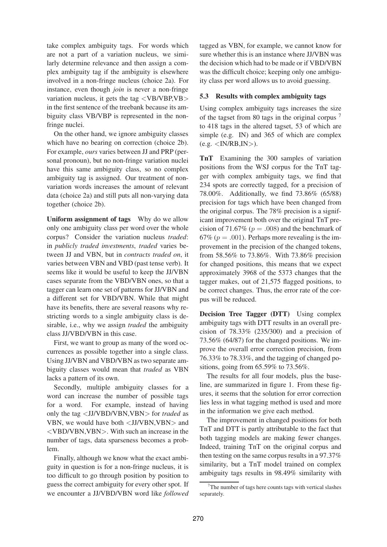take complex ambiguity tags. For words which are not a part of a variation nucleus, we similarly determine relevance and then assign a complex ambiguity tag if the ambiguity is elsewhere involved in a non-fringe nucleus (choice 2a). For instance, even though *join* is never a non-fringe variation nucleus, it gets the tag  $\langle V\text{B}/V\text{B}P, \text{V}\text{B}\rangle$ in the first sentence of the treebank because its ambiguity class VB/VBP is represented in the nonfringe nuclei.

On the other hand, we ignore ambiguity classes which have no bearing on correction (choice 2b). For example, *ours* varies between JJ and PRP (personal pronoun), but no non-fringe variation nuclei have this same ambiguity class, so no complex ambiguity tag is assigned. Our treatment of nonvariation words increases the amount of relevant data (choice 2a) and still puts all non-varying data together (choice 2b).

**Uniform assignment of tags** Why do we allow only one ambiguity class per word over the whole corpus? Consider the variation nucleus *traded*: in *publicly traded investments*, *traded* varies between JJ and VBN, but in *contracts traded on*, it varies between VBN and VBD (past tense verb). It seems like it would be useful to keep the JJ/VBN cases separate from the VBD/VBN ones, so that a tagger can learn one set of patterns for JJ/VBN and a different set for VBD/VBN. While that might have its benefits, there are several reasons why restricting words to a single ambiguity class is desirable, i.e., why we assign *traded* the ambiguity class JJ/VBD/VBN in this case.

First, we want to group as many of the word occurrences as possible together into a single class. Using JJ/VBN and VBD/VBN as two separate ambiguity classes would mean that *traded* as VBN lacks a pattern of its own.

Secondly, multiple ambiguity classes for a word can increase the number of possible tags for a word. For example, instead of having only the tag <JJ/VBD/VBN,VBN> for *traded* as VBN, we would have both <JJ/VBN,VBN> and <VBD/VBN,VBN>. With such an increase in the number of tags, data sparseness becomes a problem.

Finally, although we know what the exact ambiguity in question is for a non-fringe nucleus, it is too difficult to go through position by position to guess the correct ambiguity for every other spot. If we encounter a JJ/VBD/VBN word like *followed*

tagged as VBN, for example, we cannot know for sure whether this is an instance where JJ/VBN was the decision which had to be made or if VBD/VBN was the difficult choice; keeping only one ambiguity class per word allows us to avoid guessing.

### **5.3 Results with complex ambiguity tags**

Using complex ambiguity tags increases the size of the tagset from 80 tags in the original corpus <sup>7</sup> to 418 tags in the altered tagset, 53 of which are simple (e.g. IN) and 365 of which are complex  $(e.g. < IN/RB, IN)$ .

**TnT** Examining the 300 samples of variation positions from the WSJ corpus for the TnT tagger with complex ambiguity tags, we find that 234 spots are correctly tagged, for a precision of 78.00%. Additionally, we find 73.86% (65/88) precision for tags which have been changed from the original corpus. The 78% precision is a significant improvement both over the original TnT precision of 71.67% ( $p = .008$ ) and the benchmark of 67% ( $p = .001$ ). Perhaps more revealing is the improvement in the precision of the changed tokens, from 58.56% to 73.86%. With 73.86% precision for changed positions, this means that we expect approximately 3968 of the 5373 changes that the tagger makes, out of 21,575 flagged positions, to be correct changes. Thus, the error rate of the corpus will be reduced.

**Decision Tree Tagger (DTT)** Using complex ambiguity tags with DTT results in an overall precision of  $78.33\%$  (235/300) and a precision of 73.56% (64/87) for the changed positions. We improve the overall error correction precision, from 76.33% to 78.33%, and the tagging of changed positions, going from 65.59% to 73.56%.

The results for all four models, plus the baseline, are summarized in figure 1. From these figures, it seems that the solution for error correction lies less in what tagging method is used and more in the information we give each method.

The improvement in changed positions for both TnT and DTT is partly attributable to the fact that both tagging models are making fewer changes. Indeed, training TnT on the original corpus and then testing on the same corpus results in a 97.37% similarity, but a TnT model trained on complex ambiguity tags results in 98.49% similarity with

 $7$ The number of tags here counts tags with vertical slashes separately.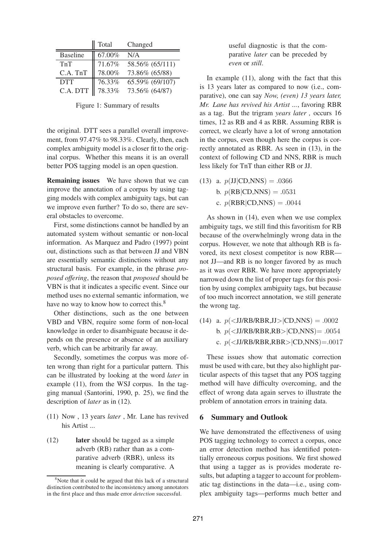|                 | Total     | Changed         |
|-----------------|-----------|-----------------|
| <b>Baseline</b> | 67.00%    | N/A             |
| TnT             | 71.67%    | 58.56% (65/111) |
| C.A. TnT        | 78.00%    | 73.86% (65/88)  |
| <b>DTT</b>      | 76.33%    | 65.59% (69/107) |
| C.A. DTT        | $78.33\%$ | 73.56% (64/87)  |

Figure 1: Summary of results

the original. DTT sees a parallel overall improvement, from 97.47% to 98.33%. Clearly, then, each complex ambiguity model is a closer fit to the original corpus. Whether this means it is an overall better POS tagging model is an open question.

**Remaining issues** We have shown that we can improve the annotation of a corpus by using tagging models with complex ambiguity tags, but can we improve even further? To do so, there are several obstacles to overcome.

First, some distinctions cannot be handled by an automated system without semantic or non-local information. As Marquez and Padro (1997) point out, distinctions such as that between JJ and VBN are essentially semantic distinctions without any structural basis. For example, in the phrase *proposed offering*, the reason that *proposed* should be VBN is that it indicates a specific event. Since our method uses no external semantic information, we have no way to know how to correct this.<sup>8</sup>

Other distinctions, such as the one between VBD and VBN, require some form of non-local knowledge in order to disambiguate because it depends on the presence or absence of an auxiliary verb, which can be arbitrarily far away.

Secondly, sometimes the corpus was more often wrong than right for a particular pattern. This can be illustrated by looking at the word *later* in example (11), from the WSJ corpus. In the tagging manual (Santorini, 1990, p. 25), we find the description of *later* as in (12).

- (11) Now , 13 years *later* , Mr. Lane has revived his Artist ...
- (12) **later** should be tagged as a simple adverb (RB) rather than as a comparative adverb (RBR), unless its meaning is clearly comparative. A

useful diagnostic is that the comparative *later* can be preceded by *even* or *still*.

In example (11), along with the fact that this is 13 years later as compared to now (i.e., comparative), one can say *Now, (even) 13 years later, Mr. Lane has revived his Artist ...*, favoring RBR as a tag. But the trigram *years later ,* occurs 16 times, 12 as RB and 4 as RBR. Assuming RBR is correct, we clearly have a lot of wrong annotation in the corpus, even though here the corpus is correctly annotated as RBR. As seen in (13), in the context of following CD and NNS, RBR is much less likely for TnT than either RB or JJ.

(13) a.  $p(\text{JI}|CD, NNS) = .0366$ b.  $p(RB|CD, NNS) = .0531$ c.  $p(RBR|CD, NNS) = .0044$ 

As shown in (14), even when we use complex ambiguity tags, we still find this favoritism for RB because of the overwhelmingly wrong data in the corpus. However, we note that although RB is favored, its next closest competitor is now RBR not JJ—and RB is no longer favored by as much as it was over RBR. We have more appropriately narrowed down the list of proper tags for this position by using complex ambiguity tags, but because of too much incorrect annotation, we still generate the wrong tag.

(14) a.  $p(<sub>J</sub>/RBR, <sub>J</sub>/RBR, <sub>J</sub>/RBR, <sub>J</sub>/RBR, <sub>J</sub>/RBR, <sub>J</sub>/RBR, <sub>J</sub>/RBR, <sub>J</sub>/RBR, <sub>J</sub>/RBR, <sub>J</sub>/RBR, <sub>J</sub>/RBR, <sub>J</sub>/RBR, <sub>J</sub>/RBR, <sub>J</sub>/R, <sub>J</sub>/R, <sub>J</sub>/R, <sub>J</sub>/R, <sub>J</sub>/R, <sub>J</sub>/R, <sub>J</sub>/R, <sub>J</sub>/R, <sub>J</sub>/R, <sub>J</sub>/R, <sub>J</sub>/R, <sub>J</sub>/$ b.  $p(<sub>J</sub>/RB/RBR, RB|CD, NNS) = .0054$ c.  $p(<sub>J</sub>/RB/RBR, RBR)(CD, NNS) = .0017$ 

These issues show that automatic correction must be used with care, but they also highlight particular aspects of this tagset that any POS tagging method will have difficulty overcoming, and the effect of wrong data again serves to illustrate the problem of annotation errors in training data.

#### **6 Summary and Outlook**

We have demonstrated the effectiveness of using POS tagging technology to correct a corpus, once an error detection method has identified potentially erroneous corpus positions. We first showed that using a tagger as is provides moderate results, but adapting a tagger to account for problematic tag distinctions in the data—i.e., using complex ambiguity tags—performs much better and

<sup>&</sup>lt;sup>8</sup>Note that it could be argued that this lack of a structural distinction contributed to the inconsistency among annotators in the first place and thus made error *detection* successful.